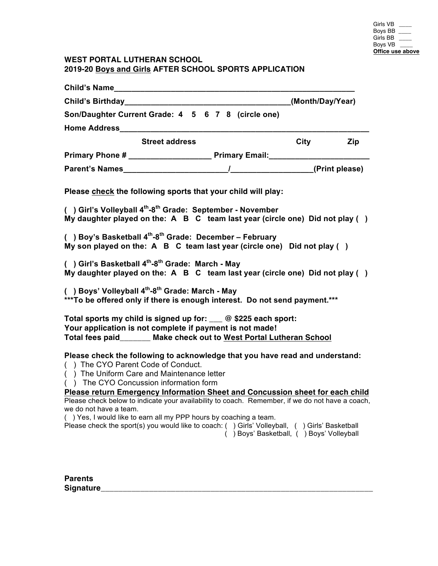# **WEST PORTAL LUTHERAN SCHOOL 2019-20 Boys and Girls AFTER SCHOOL SPORTS APPLICATION**

| Child's Name <b>Child's Name</b>                                                                                                                                                                                                                                                                                                                                                                                                                                                                                                                                                                                                                  |  |
|---------------------------------------------------------------------------------------------------------------------------------------------------------------------------------------------------------------------------------------------------------------------------------------------------------------------------------------------------------------------------------------------------------------------------------------------------------------------------------------------------------------------------------------------------------------------------------------------------------------------------------------------------|--|
| (Month/Day/Year)<br>Child's Birthday____________                                                                                                                                                                                                                                                                                                                                                                                                                                                                                                                                                                                                  |  |
| Son/Daughter Current Grade: 4 5 6 7 8 (circle one)                                                                                                                                                                                                                                                                                                                                                                                                                                                                                                                                                                                                |  |
|                                                                                                                                                                                                                                                                                                                                                                                                                                                                                                                                                                                                                                                   |  |
| <b>Street address</b><br>City<br>Zip                                                                                                                                                                                                                                                                                                                                                                                                                                                                                                                                                                                                              |  |
| Primary Phone # ___________________________ Primary Email: _____________________                                                                                                                                                                                                                                                                                                                                                                                                                                                                                                                                                                  |  |
|                                                                                                                                                                                                                                                                                                                                                                                                                                                                                                                                                                                                                                                   |  |
| Please check the following sports that your child will play:<br>() Girl's Volleyball 4 <sup>th</sup> -8 <sup>th</sup> Grade: September - November<br>My daughter played on the: A B C team last year (circle one) Did not play ()<br>() Boy's Basketball $4^{th}$ -8 <sup>th</sup> Grade: December - February<br>My son played on the: $A$ B C team last year (circle one) Did not play ()<br>() Girl's Basketball 4 <sup>th</sup> -8 <sup>th</sup> Grade: March - May<br>My daughter played on the: A B C team last year (circle one) Did not play ()                                                                                            |  |
| () Boys' Volleyball 4 <sup>th</sup> -8 <sup>th</sup> Grade: March - May<br>***To be offered only if there is enough interest. Do not send payment.***                                                                                                                                                                                                                                                                                                                                                                                                                                                                                             |  |
| Total sports my child is signed up for: ___ @ \$225 each sport:<br>Your application is not complete if payment is not made!<br>Total fees paid_______ Make check out to West Portal Lutheran School                                                                                                                                                                                                                                                                                                                                                                                                                                               |  |
| Please check the following to acknowledge that you have read and understand:<br>() The CYO Parent Code of Conduct.<br>() The Uniform Care and Maintenance letter<br>() The CYO Concussion information form<br><b>Please return Emergency Information Sheet and Concussion sheet for each child</b><br>Please check below to indicate your availability to coach. Remember, if we do not have a coach,<br>we do not have a team.<br>() Yes, I would like to earn all my PPP hours by coaching a team.<br>Please check the sport(s) you would like to coach: () Girls' Volleyball, () Girls' Basketball<br>() Boys' Basketball, () Boys' Volleyball |  |

**Parents Signature\_\_\_\_\_\_\_\_\_\_\_\_\_\_\_\_\_\_\_\_\_\_\_\_\_\_\_\_\_\_\_\_\_\_\_\_\_\_\_\_\_\_\_\_\_\_\_\_\_\_\_\_\_\_\_\_\_\_\_\_\_\_**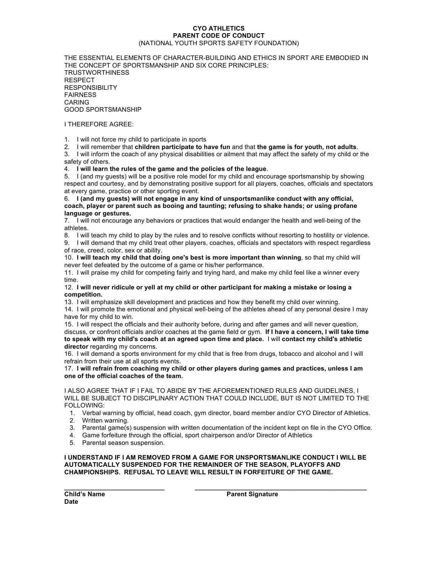### **CYO ATHLETICS PARENT CODE OF CONDUCT** (NATIONAL YOUTH SPORTS SAFETY FOUNDATION)

THE ESSENTIAL ELEMENTS OF CHARACTER-BUILDING AND ETHICS IN SPORT ARE EMBODIED IN THE CONCEPT OF SPORTSMANSHIP AND SIX CORE PRINCIPLES: TRUSTWORTHINESS RESPECT RESPONSIBILITY FAIRNESS CARING GOOD SPORTSMANSHIP

### I THEREFORE AGREE:

1. I will not force my child to participate in sports

2. I will remember that **children participate to have fun** and that **the game is for youth, not adults**.

3. I will inform the coach of any physical disabilities or ailment that may affect the safety of my child or the safety of others.

4. **I will learn the rules of the game and the policies of the league**.

5. I (and my guests) will be a positive role model for my child and encourage sportsmanship by showing respect and courtesy, and by demonstrating positive support for all players, coaches, officials and spectators at every game, practice or other sporting event.

6. **I (and my guests) will not engage in any kind of unsportsmanlike conduct with any official, coach, player or parent such as booing and taunting; refusing to shake hands; or using profane language or gestures.**

7. I will not encourage any behaviors or practices that would endanger the health and well-being of the athletes.

8. I will teach my child to play by the rules and to resolve conflicts without resorting to hostility or violence.

9. I will demand that my child treat other players, coaches, officials and spectators with respect regardless of race, creed, color, sex or ability.

10. **I will teach my child that doing one's best is more important than winning**, so that my child will never feel defeated by the outcome of a game or his/her performance.

11. I will praise my child for competing fairly and trying hard, and make my child feel like a winner every time.

### 12. **I will never ridicule or yell at my child or other participant for making a mistake or losing a competition.**

13. I will emphasize skill development and practices and how they benefit my child over winning.

14. I will promote the emotional and physical well-being of the athletes ahead of any personal desire I may have for my child to win.

15. I will respect the officials and their authority before, during and after games and will never question, discuss, or confront officials and/or coaches at the game field or gym. **If I have a concern, I will take time to speak with my child's coach at an agreed upon time and place.** I will **contact my child's athletic director** regarding my concerns.

16. I will demand a sports environment for my child that is free from drugs, tobacco and alcohol and I will refrain from their use at all sports events.

17. **I will refrain from coaching my child or other players during games and practices, unless I am one of the official coaches of the team.**

I ALSO AGREE THAT IF I FAIL TO ABIDE BY THE AFOREMENTIONED RULES AND GUIDELINES, I WILL BE SUBJECT TO DISCIPLINARY ACTION THAT COULD INCLUDE, BUT IS NOT LIMITED TO THE FOLLOWING:

- 1. Verbal warning by official, head coach, gym director, board member and/or CYO Director of Athletics.
- 2. Written warning.
- 3. Parental game(s) suspension with written documentation of the incident kept on file in the CYO Office.
- 4. Game forfeiture through the official, sport chairperson and/or Director of Athletics
- 5. Parental season suspension.

**I UNDERSTAND IF I AM REMOVED FROM A GAME FOR UNSPORTSMANLIKE CONDUCT I WILL BE AUTOMATICALLY SUSPENDED FOR THE REMAINDER OF THE SEASON, PLAYOFFS AND CHAMPIONSHIPS. REFUSAL TO LEAVE WILL RESULT IN FORFEITURE OF THE GAME.**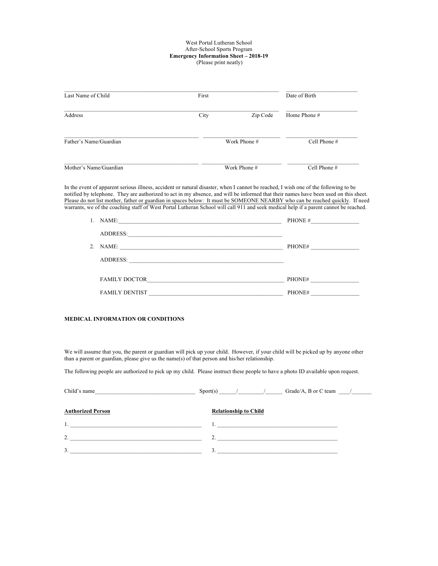#### West Portal Lutheran School After-School Sports Program **Emergency Information Sheet – 2018-19** (Please print neatly)

| Last Name of Child     | First |              | Date of Birth  |
|------------------------|-------|--------------|----------------|
| Address                | City  | Zip Code     | Home Phone #   |
| Father's Name/Guardian |       | Work Phone # | Cell Phone #   |
| Mother's Name/Guardian |       | Work Phone # | Cell Phone $#$ |

In the event of apparent serious illness, accident or natural disaster, when I cannot be reached, I wish one of the following to be notified by telephone. They are authorized to act in my absence, and will be informed that their names have been used on this sheet. Please do not list mother, father or guardian in spaces below: It must be SOMEONE NEARBY who can be reached quickly. If need warrants, we of the coaching staff of West Portal Lutheran School will call 911 and seek medical help if a parent cannot be reached.

| NAME:                 | PHONE # |
|-----------------------|---------|
| ADDRESS:              |         |
| 2. NAME:              | PHONE#  |
| ADDRESS:              |         |
|                       |         |
| <b>FAMILY DOCTOR</b>  | PHONE#  |
| <b>FAMILY DENTIST</b> | PHONE#  |

### **MEDICAL INFORMATION OR CONDITIONS**

We will assume that you, the parent or guardian will pick up your child. However, if your child will be picked up by anyone other than a parent or guardian, please give us the name(s) of that person and his/her relationship.

The following people are authorized to pick up my child. Please instruct these people to have a photo ID available upon request.

| Child's name                                                | Grade/A, B or C team $/$     |
|-------------------------------------------------------------|------------------------------|
| <u> 1989 - Andrea Station, amerikansk politik (d. 1989)</u> |                              |
| <b>Authorized Person</b>                                    | <b>Relationship to Child</b> |
|                                                             |                              |
| $\overline{2}$                                              | $\overline{2}$               |
|                                                             |                              |
| 3.                                                          | 3.                           |
|                                                             |                              |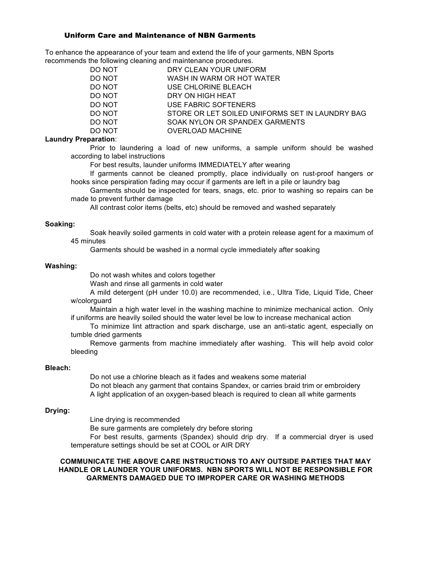# Uniform Care and Maintenance of NBN Garments

To enhance the appearance of your team and extend the life of your garments, NBN Sports recommends the following cleaning and maintenance procedures.

> DO NOT DRY CLEAN YOUR UNIFORM WASH IN WARM OR HOT WATER DO NOT USE CHLORINE BLEACH DO NOT DRY ON HIGH HEAT DO NOT USE FABRIC SOFTENERS DO NOT STORE OR LET SOILED UNIFORMS SET IN LAUNDRY BAG DO NOT SOAK NYLON OR SPANDEX GARMENTS DO NOT **OVERLOAD MACHINE**

# **Laundry Preparation**:

 Prior to laundering a load of new uniforms, a sample uniform should be washed according to label instructions

For best results, launder uniforms IMMEDIATELY after wearing

 If garments cannot be cleaned promptly, place individually on rust-proof hangers or hooks since perspiration fading may occur if garments are left in a pile or laundry bag

 Garments should be inspected for tears, snags, etc. prior to washing so repairs can be made to prevent further damage

All contrast color items (belts, etc) should be removed and washed separately

# **Soaking:**

 Soak heavily soiled garments in cold water with a protein release agent for a maximum of 45 minutes

Garments should be washed in a normal cycle immediately after soaking

### **Washing:**

Do not wash whites and colors together

Wash and rinse all garments in cold water

 A mild detergent (pH under 10.0) are recommended, i.e., Ultra Tide, Liquid Tide, Cheer w/colorguard

 Maintain a high water level in the washing machine to minimize mechanical action. Only if uniforms are heavily soiled should the water level be low to increase mechanical action

 To minimize lint attraction and spark discharge, use an anti-static agent, especially on tumble dried garments

 Remove garments from machine immediately after washing. This will help avoid color bleeding

### **Bleach:**

 Do not use a chlorine bleach as it fades and weakens some material Do not bleach any garment that contains Spandex, or carries braid trim or embroidery A light application of an oxygen-based bleach is required to clean all white garments

# **Drying:**

Line drying is recommended

Be sure garments are completely dry before storing

 For best results, garments (Spandex) should drip dry. If a commercial dryer is used temperature settings should be set at COOL or AIR DRY

# **COMMUNICATE THE ABOVE CARE INSTRUCTIONS TO ANY OUTSIDE PARTIES THAT MAY HANDLE OR LAUNDER YOUR UNIFORMS. NBN SPORTS WILL NOT BE RESPONSIBLE FOR GARMENTS DAMAGED DUE TO IMPROPER CARE OR WASHING METHODS**